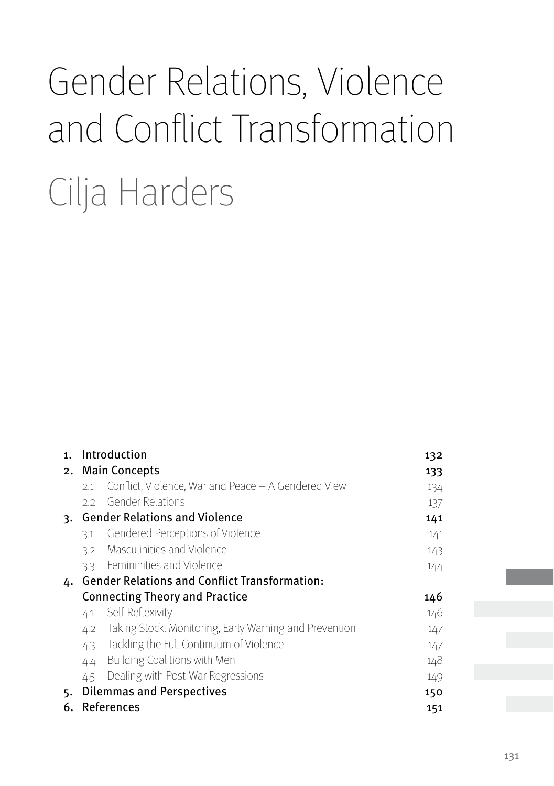# Gender Relations, Violence and Conflict Transformation Cilja Harders

| $\mathbf{1}$ . | Introduction                                         |                                                        | 132  |
|----------------|------------------------------------------------------|--------------------------------------------------------|------|
| 2.             | <b>Main Concepts</b>                                 |                                                        | 133  |
|                | 2.1                                                  | Conflict, Violence, War and Peace - A Gendered View    | 134  |
|                | 2.2                                                  | <b>Gender Relations</b>                                | 137  |
| 3.             | <b>Gender Relations and Violence</b>                 |                                                        | 141  |
|                | 3.1                                                  | Gendered Perceptions of Violence                       | 1/41 |
|                | 3.2                                                  | Masculinities and Violence                             | 143  |
|                | 3.3                                                  | Femininities and Violence                              | 144  |
| 4.             | <b>Gender Relations and Conflict Transformation:</b> |                                                        |      |
|                | <b>Connecting Theory and Practice</b>                |                                                        | 146  |
|                | 4.1                                                  | Self-Reflexivity                                       | 146  |
|                | 4.2                                                  | Taking Stock: Monitoring, Early Warning and Prevention | 147  |
|                | 4.3                                                  | Tackling the Full Continuum of Violence                | 147  |
|                | 4.4                                                  | Building Coalitions with Men                           | 148  |
|                | 4.5                                                  | Dealing with Post-War Regressions                      | 149  |
| 5.             | <b>Dilemmas and Perspectives</b>                     |                                                        | 150  |
| 6.             | References                                           |                                                        | 151  |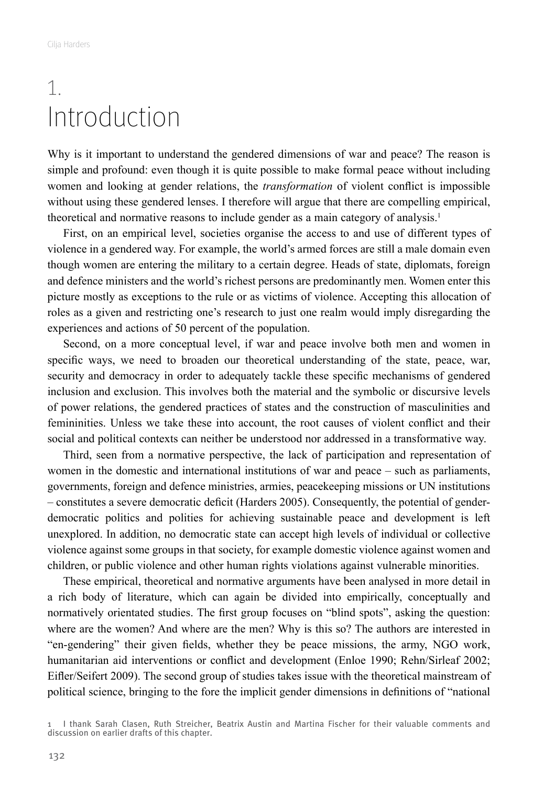### <span id="page-1-0"></span>1. Introduction

Why is it important to understand the gendered dimensions of war and peace? The reason is simple and profound: even though it is quite possible to make formal peace without including women and looking at gender relations, the *transformation* of violent conflict is impossible without using these gendered lenses. I therefore will argue that there are compelling empirical, theoretical and normative reasons to include gender as a main category of analysis.<sup>1</sup>

First, on an empirical level, societies organise the access to and use of different types of violence in a gendered way. For example, the world's armed forces are still a male domain even though women are entering the military to a certain degree. Heads of state, diplomats, foreign and defence ministers and the world's richest persons are predominantly men. Women enter this picture mostly as exceptions to the rule or as victims of violence. Accepting this allocation of roles as a given and restricting one's research to just one realm would imply disregarding the experiences and actions of 50 percent of the population.

Second, on a more conceptual level, if war and peace involve both men and women in specific ways, we need to broaden our theoretical understanding of the state, peace, war, security and democracy in order to adequately tackle these specific mechanisms of gendered inclusion and exclusion. This involves both the material and the symbolic or discursive levels of power relations, the gendered practices of states and the construction of masculinities and femininities. Unless we take these into account, the root causes of violent conflict and their social and political contexts can neither be understood nor addressed in a transformative way.

Third, seen from a normative perspective, the lack of participation and representation of women in the domestic and international institutions of war and peace – such as parliaments, governments, foreign and defence ministries, armies, peacekeeping missions or UN institutions – constitutes a severe democratic deficit (Harders 2005). Consequently, the potential of genderdemocratic politics and polities for achieving sustainable peace and development is left unexplored. In addition, no democratic state can accept high levels of individual or collective violence against some groups in that society, for example domestic violence against women and children, or public violence and other human rights violations against vulnerable minorities.

These empirical, theoretical and normative arguments have been analysed in more detail in a rich body of literature, which can again be divided into empirically, conceptually and normatively orientated studies. The first group focuses on "blind spots", asking the question: where are the women? And where are the men? Why is this so? The authors are interested in "en-gendering" their given fields, whether they be peace missions, the army, NGO work, humanitarian aid interventions or conflict and development (Enloe 1990; Rehn/Sirleaf 2002; Eifler/Seifert 2009). The second group of studies takes issue with the theoretical mainstream of political science, bringing to the fore the implicit gender dimensions in definitions of "national

<sup>1</sup> I thank Sarah Clasen, Ruth Streicher, Beatrix Austin and Martina Fischer for their valuable comments and discussion on earlier drafts of this chapter.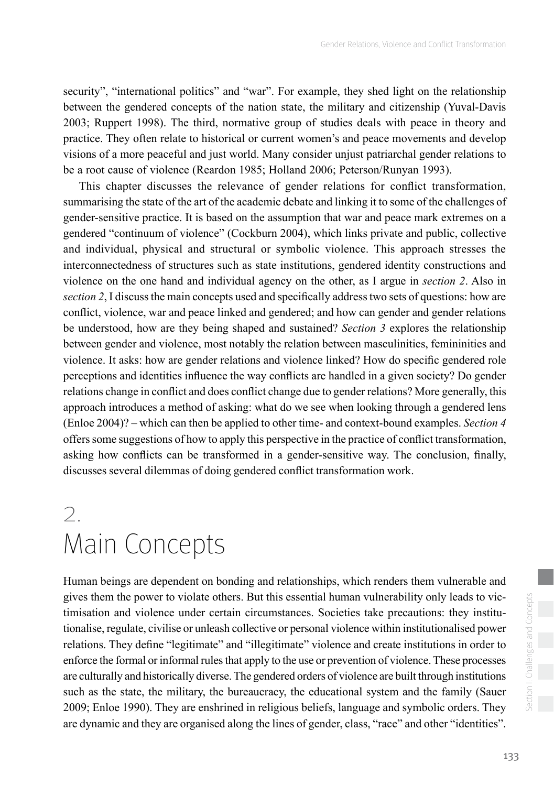<span id="page-2-0"></span>security", "international politics" and "war". For example, they shed light on the relationship between the gendered concepts of the nation state, the military and citizenship (Yuval-Davis 2003; Ruppert 1998). The third, normative group of studies deals with peace in theory and practice. They often relate to historical or current women's and peace movements and develop visions of a more peaceful and just world. Many consider unjust patriarchal gender relations to be a root cause of violence (Reardon 1985; Holland 2006; Peterson/Runyan 1993).

This chapter discusses the relevance of gender relations for conflict transformation, summarising the state of the art of the academic debate and linking it to some of the challenges of gender-sensitive practice. It is based on the assumption that war and peace mark extremes on a gendered "continuum of violence" (Cockburn 2004), which links private and public, collective and individual, physical and structural or symbolic violence. This approach stresses the interconnectedness of structures such as state institutions, gendered identity constructions and violence on the one hand and individual agency on the other, as I argue in *section 2*. Also in *section 2*, I discuss the main concepts used and specifically address two sets of questions: how are conflict, violence, war and peace linked and gendered; and how can gender and gender relations be understood, how are they being shaped and sustained? *Section 3* explores the relationship between gender and violence, most notably the relation between masculinities, femininities and violence. It asks: how are gender relations and violence linked? How do specific gendered role perceptions and identities influence the way conflicts are handled in a given society? Do gender relations change in conflict and does conflict change due to gender relations? More generally, this approach introduces a method of asking: what do we see when looking through a gendered lens (Enloe 2004)? – which can then be applied to other time- and context-bound examples. *Section 4* offers some suggestions of how to apply this perspective in the practice of conflict transformation, asking how conflicts can be transformed in a gender-sensitive way. The conclusion, finally, discusses several dilemmas of doing gendered conflict transformation work.

### 2. Main Concepts

Human beings are dependent on bonding and relationships, which renders them vulnerable and gives them the power to violate others. But this essential human vulnerability only leads to victimisation and violence under certain circumstances. Societies take precautions: they institutionalise, regulate, civilise or unleash collective or personal violence within institutionalised power relations. They define "legitimate" and "illegitimate" violence and create institutions in order to enforce the formal or informal rules that apply to the use or prevention of violence. These processes are culturally and historically diverse. The gendered orders of violence are built through institutions such as the state, the military, the bureaucracy, the educational system and the family (Sauer 2009; Enloe 1990). They are enshrined in religious beliefs, language and symbolic orders. They are dynamic and they are organised along the lines of gender, class, "race" and other "identities".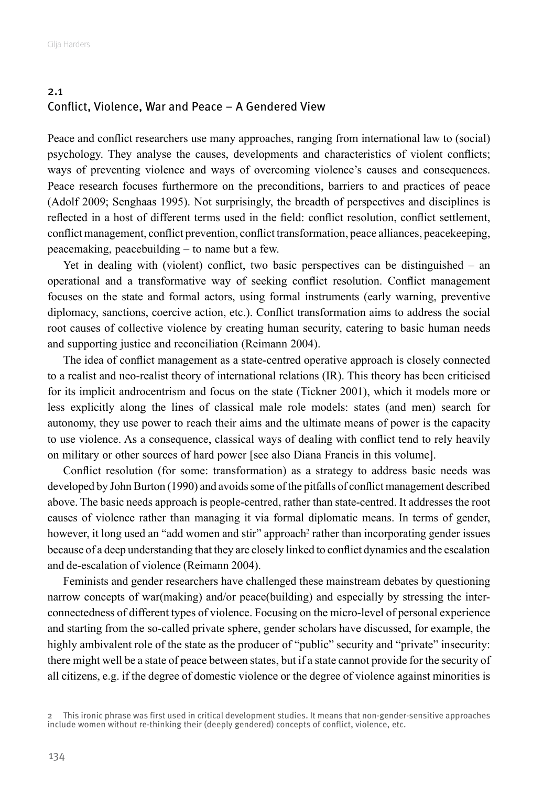### <span id="page-3-0"></span>2.1 Conflict, Violence, War and Peace – A Gendered View

Peace and conflict researchers use many approaches, ranging from international law to (social) psychology. They analyse the causes, developments and characteristics of violent conflicts; ways of preventing violence and ways of overcoming violence's causes and consequences. Peace research focuses furthermore on the preconditions, barriers to and practices of peace (Adolf 2009; Senghaas 1995). Not surprisingly, the breadth of perspectives and disciplines is reflected in a host of different terms used in the field: conflict resolution, conflict settlement, conflict management, conflict prevention, conflict transformation, peace alliances, peacekeeping, peacemaking, peacebuilding – to name but a few.

Yet in dealing with (violent) conflict, two basic perspectives can be distinguished – an operational and a transformative way of seeking conflict resolution. Conflict management focuses on the state and formal actors, using formal instruments (early warning, preventive diplomacy, sanctions, coercive action, etc.). Conflict transformation aims to address the social root causes of collective violence by creating human security, catering to basic human needs and supporting justice and reconciliation (Reimann 2004).

The idea of conflict management as a state-centred operative approach is closely connected to a realist and neo-realist theory of international relations (IR). This theory has been criticised for its implicit androcentrism and focus on the state (Tickner 2001), which it models more or less explicitly along the lines of classical male role models: states (and men) search for autonomy, they use power to reach their aims and the ultimate means of power is the capacity to use violence. As a consequence, classical ways of dealing with conflict tend to rely heavily on military or other sources of hard power [see also Diana Francis in this volume].

Conflict resolution (for some: transformation) as a strategy to address basic needs was developed by John Burton (1990) and avoids some of the pitfalls of conflict management described above. The basic needs approach is people-centred, rather than state-centred. It addresses the root causes of violence rather than managing it via formal diplomatic means. In terms of gender, however, it long used an "add women and stir" approach<sup>2</sup> rather than incorporating gender issues because of a deep understanding that they are closely linked to conflict dynamics and the escalation and de-escalation of violence (Reimann 2004).

Feminists and gender researchers have challenged these mainstream debates by questioning narrow concepts of war(making) and/or peace(building) and especially by stressing the interconnectedness of different types of violence. Focusing on the micro-level of personal experience and starting from the so-called private sphere, gender scholars have discussed, for example, the highly ambivalent role of the state as the producer of "public" security and "private" insecurity: there might well be a state of peace between states, but if a state cannot provide for the security of all citizens, e.g. if the degree of domestic violence or the degree of violence against minorities is

2 This ironic phrase was first used in critical development studies. It means that non-gender-sensitive approaches include women without re-thinking their (deeply gendered) concepts of conflict, violence, etc.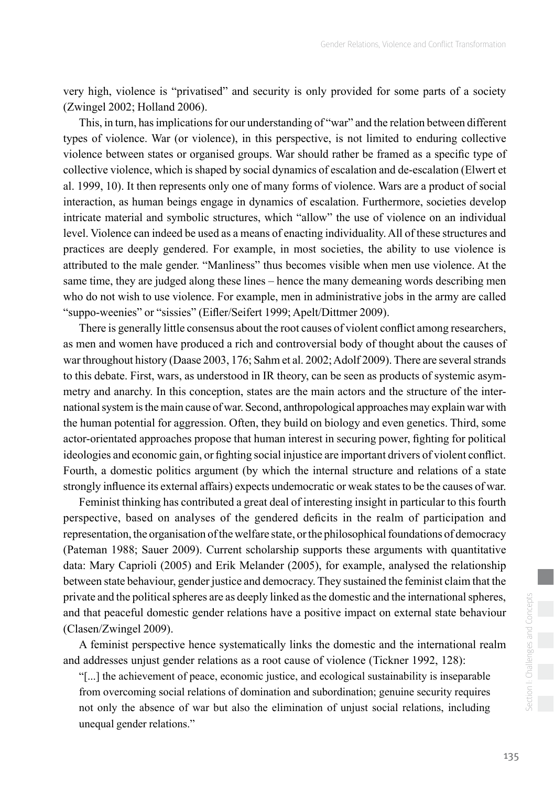very high, violence is "privatised" and security is only provided for some parts of a society (Zwingel 2002; Holland 2006).

This, in turn, has implications for our understanding of "war" and the relation between different types of violence. War (or violence), in this perspective, is not limited to enduring collective violence between states or organised groups. War should rather be framed as a specific type of collective violence, which is shaped by social dynamics of escalation and de-escalation (Elwert et al. 1999, 10). It then represents only one of many forms of violence. Wars are a product of social interaction, as human beings engage in dynamics of escalation. Furthermore, societies develop intricate material and symbolic structures, which "allow" the use of violence on an individual level. Violence can indeed be used as a means of enacting individuality. All of these structures and practices are deeply gendered. For example, in most societies, the ability to use violence is attributed to the male gender. "Manliness" thus becomes visible when men use violence. At the same time, they are judged along these lines – hence the many demeaning words describing men who do not wish to use violence. For example, men in administrative jobs in the army are called "suppo-weenies" or "sissies" (Eifler/Seifert 1999; Apelt/Dittmer 2009).

There is generally little consensus about the root causes of violent conflict among researchers, as men and women have produced a rich and controversial body of thought about the causes of war throughout history (Daase 2003, 176; Sahm et al. 2002; Adolf 2009). There are several strands to this debate. First, wars, as understood in IR theory, can be seen as products of systemic asymmetry and anarchy. In this conception, states are the main actors and the structure of the international system is the main cause of war. Second, anthropological approaches may explain war with the human potential for aggression. Often, they build on biology and even genetics. Third, some actor-orientated approaches propose that human interest in securing power, fighting for political ideologies and economic gain, or fighting social injustice are important drivers of violent conflict. Fourth, a domestic politics argument (by which the internal structure and relations of a state strongly influence its external affairs) expects undemocratic or weak states to be the causes of war.

Feminist thinking has contributed a great deal of interesting insight in particular to this fourth perspective, based on analyses of the gendered deficits in the realm of participation and representation, the organisation of the welfare state, or the philosophical foundations of democracy (Pateman 1988; Sauer 2009). Current scholarship supports these arguments with quantitative data: Mary Caprioli (2005) and Erik Melander (2005), for example, analysed the relationship between state behaviour, gender justice and democracy. They sustained the feminist claim that the private and the political spheres are as deeply linked as the domestic and the international spheres, and that peaceful domestic gender relations have a positive impact on external state behaviour (Clasen/Zwingel 2009).

A feminist perspective hence systematically links the domestic and the international realm and addresses unjust gender relations as a root cause of violence (Tickner 1992, 128):

"[...] the achievement of peace, economic justice, and ecological sustainability is inseparable from overcoming social relations of domination and subordination; genuine security requires not only the absence of war but also the elimination of unjust social relations, including unequal gender relations."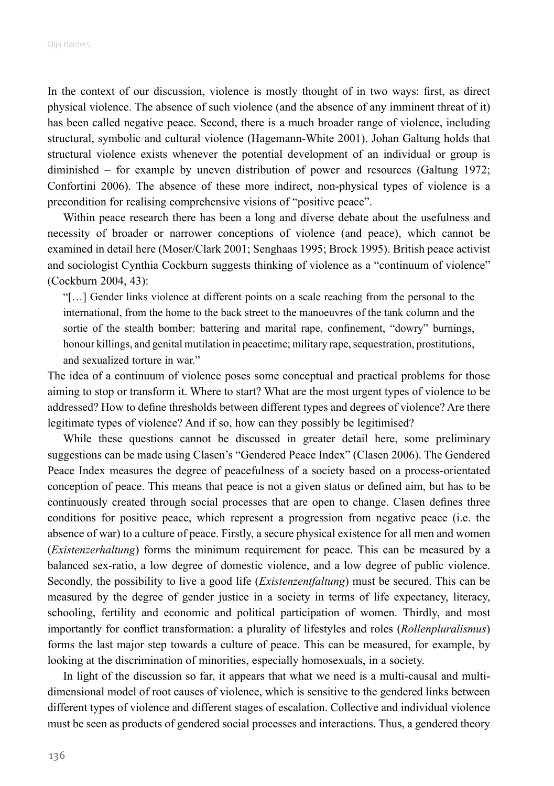In the context of our discussion, violence is mostly thought of in two ways: first, as direct physical violence. The absence of such violence (and the absence of any imminent threat of it) has been called negative peace. Second, there is a much broader range of violence, including structural, symbolic and cultural violence (Hagemann-White 2001). Johan Galtung holds that structural violence exists whenever the potential development of an individual or group is diminished – for example by uneven distribution of power and resources (Galtung 1972; Confortini 2006). The absence of these more indirect, non-physical types of violence is a precondition for realising comprehensive visions of "positive peace".

Within peace research there has been a long and diverse debate about the usefulness and necessity of broader or narrower conceptions of violence (and peace), which cannot be examined in detail here (Moser/Clark 2001; Senghaas 1995; Brock 1995). British peace activist and sociologist Cynthia Cockburn suggests thinking of violence as a "continuum of violence" (Cockburn 2004, 43):

"[…] Gender links violence at different points on a scale reaching from the personal to the international, from the home to the back street to the manoeuvres of the tank column and the sortie of the stealth bomber: battering and marital rape, confinement, "dowry" burnings, honour killings, and genital mutilation in peacetime; military rape, sequestration, prostitutions, and sexualized torture in war."

The idea of a continuum of violence poses some conceptual and practical problems for those aiming to stop or transform it. Where to start? What are the most urgent types of violence to be addressed? How to define thresholds between different types and degrees of violence? Are there legitimate types of violence? And if so, how can they possibly be legitimised?

While these questions cannot be discussed in greater detail here, some preliminary suggestions can be made using Clasen's "Gendered Peace Index" (Clasen 2006). The Gendered Peace Index measures the degree of peacefulness of a society based on a process-orientated conception of peace. This means that peace is not a given status or defined aim, but has to be continuously created through social processes that are open to change. Clasen defines three conditions for positive peace, which represent a progression from negative peace (i.e. the absence of war) to a culture of peace. Firstly, a secure physical existence for all men and women (*Existenzerhaltung*) forms the minimum requirement for peace. This can be measured by a balanced sex-ratio, a low degree of domestic violence, and a low degree of public violence. Secondly, the possibility to live a good life (*Existenzentfaltung*) must be secured. This can be measured by the degree of gender justice in a society in terms of life expectancy, literacy, schooling, fertility and economic and political participation of women. Thirdly, and most importantly for conflict transformation: a plurality of lifestyles and roles (*Rollenpluralismus*) forms the last major step towards a culture of peace. This can be measured, for example, by looking at the discrimination of minorities, especially homosexuals, in a society.

In light of the discussion so far, it appears that what we need is a multi-causal and multidimensional model of root causes of violence, which is sensitive to the gendered links between different types of violence and different stages of escalation. Collective and individual violence must be seen as products of gendered social processes and interactions. Thus, a gendered theory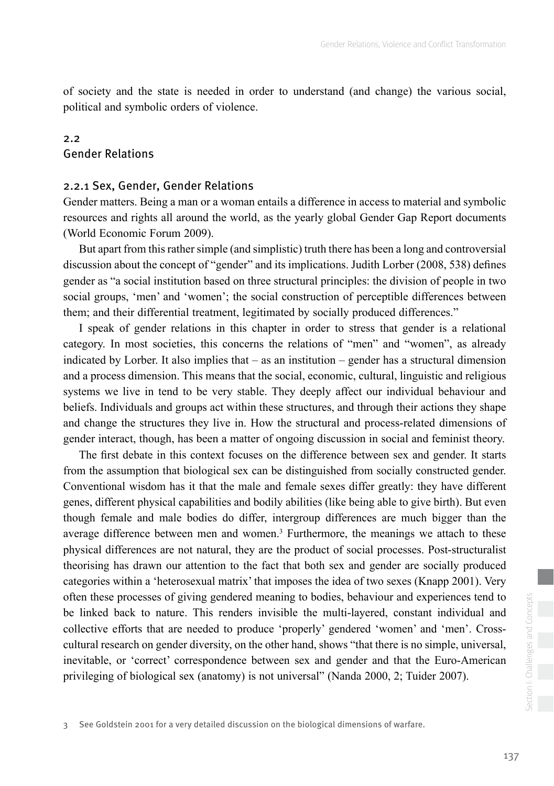<span id="page-6-0"></span>of society and the state is needed in order to understand (and change) the various social, political and symbolic orders of violence.

#### 2.2 Gender Relations

#### 2.2.1 Sex, Gender, Gender Relations

Gender matters. Being a man or a woman entails a difference in access to material and symbolic resources and rights all around the world, as the yearly global Gender Gap Report documents (World Economic Forum 2009).

But apart from this rather simple (and simplistic) truth there has been a long and controversial discussion about the concept of "gender" and its implications. Judith Lorber (2008, 538) defines gender as "a social institution based on three structural principles: the division of people in two social groups, 'men' and 'women'; the social construction of perceptible differences between them; and their differential treatment, legitimated by socially produced differences."

I speak of gender relations in this chapter in order to stress that gender is a relational category. In most societies, this concerns the relations of "men" and "women", as already indicated by Lorber. It also implies that – as an institution – gender has a structural dimension and a process dimension. This means that the social, economic, cultural, linguistic and religious systems we live in tend to be very stable. They deeply affect our individual behaviour and beliefs. Individuals and groups act within these structures, and through their actions they shape and change the structures they live in. How the structural and process-related dimensions of gender interact, though, has been a matter of ongoing discussion in social and feminist theory.

The first debate in this context focuses on the difference between sex and gender. It starts from the assumption that biological sex can be distinguished from socially constructed gender. Conventional wisdom has it that the male and female sexes differ greatly: they have different genes, different physical capabilities and bodily abilities (like being able to give birth). But even though female and male bodies do differ, intergroup differences are much bigger than the average difference between men and women.<sup>3</sup> Furthermore, the meanings we attach to these physical differences are not natural, they are the product of social processes. Post-structuralist theorising has drawn our attention to the fact that both sex and gender are socially produced categories within a 'heterosexual matrix' that imposes the idea of two sexes (Knapp 2001). Very often these processes of giving gendered meaning to bodies, behaviour and experiences tend to be linked back to nature. This renders invisible the multi-layered, constant individual and collective efforts that are needed to produce 'properly' gendered 'women' and 'men'. Crosscultural research on gender diversity, on the other hand, shows "that there is no simple, universal, inevitable, or 'correct' correspondence between sex and gender and that the Euro-American privileging of biological sex (anatomy) is not universal" (Nanda 2000, 2; Tuider 2007).

3 See Goldstein 2001 for a very detailed discussion on the biological dimensions of warfare.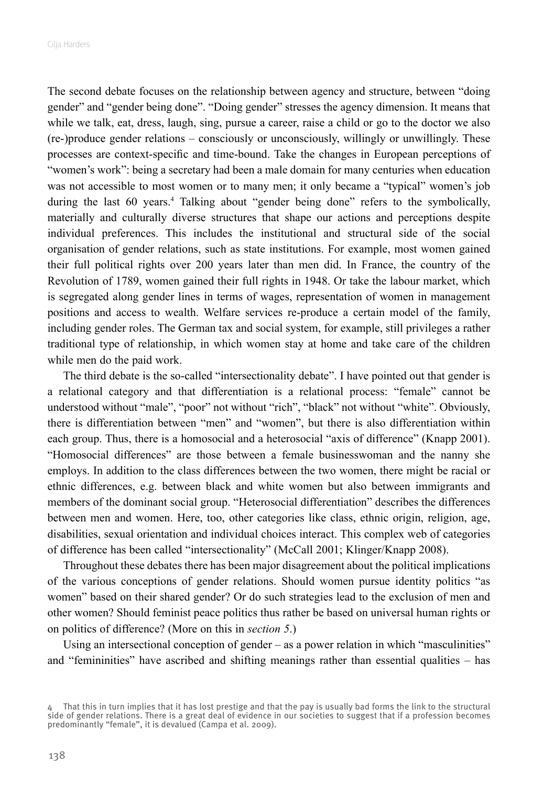The second debate focuses on the relationship between agency and structure, between "doing gender" and "gender being done". "Doing gender" stresses the agency dimension. It means that while we talk, eat, dress, laugh, sing, pursue a career, raise a child or go to the doctor we also (re-)produce gender relations – consciously or unconsciously, willingly or unwillingly. These processes are context-specific and time-bound. Take the changes in European perceptions of "women's work": being a secretary had been a male domain for many centuries when education was not accessible to most women or to many men; it only became a "typical" women's job during the last 60 years.<sup>4</sup> Talking about "gender being done" refers to the symbolically, materially and culturally diverse structures that shape our actions and perceptions despite individual preferences. This includes the institutional and structural side of the social organisation of gender relations, such as state institutions. For example, most women gained their full political rights over 200 years later than men did. In France, the country of the Revolution of 1789, women gained their full rights in 1948. Or take the labour market, which is segregated along gender lines in terms of wages, representation of women in management positions and access to wealth. Welfare services re-produce a certain model of the family, including gender roles. The German tax and social system, for example, still privileges a rather traditional type of relationship, in which women stay at home and take care of the children while men do the paid work.

The third debate is the so-called "intersectionality debate". I have pointed out that gender is a relational category and that differentiation is a relational process: "female" cannot be understood without "male", "poor" not without "rich", "black" not without "white". Obviously, there is differentiation between "men" and "women", but there is also differentiation within each group. Thus, there is a homosocial and a heterosocial "axis of difference" (Knapp 2001). "Homosocial differences" are those between a female businesswoman and the nanny she employs. In addition to the class differences between the two women, there might be racial or ethnic differences, e.g. between black and white women but also between immigrants and members of the dominant social group. "Heterosocial differentiation" describes the differences between men and women. Here, too, other categories like class, ethnic origin, religion, age, disabilities, sexual orientation and individual choices interact. This complex web of categories of difference has been called "intersectionality" (McCall 2001; Klinger/Knapp 2008).

Throughout these debates there has been major disagreement about the political implications of the various conceptions of gender relations. Should women pursue identity politics "as women" based on their shared gender? Or do such strategies lead to the exclusion of men and other women? Should feminist peace politics thus rather be based on universal human rights or on politics of difference? (More on this in *section 5*.)

Using an intersectional conception of gender – as a power relation in which "masculinities" and "femininities" have ascribed and shifting meanings rather than essential qualities – has

That this in turn implies that it has lost prestige and that the pay is usually bad forms the link to the structural side of gender relations. There is a great deal of evidence in our societies to suggest that if a profession becomes predominantly "female", it is devalued (Campa et al. 2009).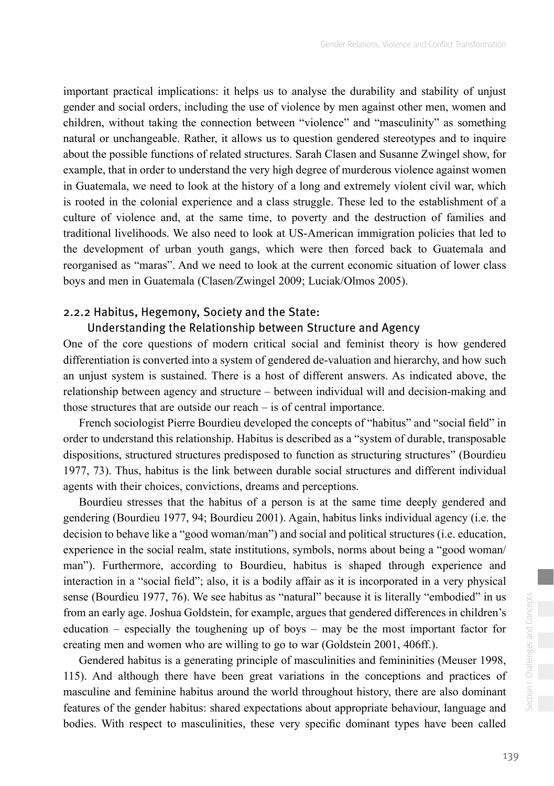important practical implications: it helps us to analyse the durability and stability of unjust gender and social orders, including the use of violence by men against other men, women and children, without taking the connection between "violence" and "masculinity" as something natural or unchangeable. Rather, it allows us to question gendered stereotypes and to inquire about the possible functions of related structures. Sarah Clasen and Susanne Zwingel show, for example, that in order to understand the very high degree of murderous violence against women in Guatemala, we need to look at the history of a long and extremely violent civil war, which is rooted in the colonial experience and a class struggle. These led to the establishment of a culture of violence and, at the same time, to poverty and the destruction of families and traditional livelihoods. We also need to look at US-American immigration policies that led to the development of urban youth gangs, which were then forced back to Guatemala and reorganised as "maras". And we need to look at the current economic situation of lower class boys and men in Guatemala (Clasen/Zwingel 2009; Luciak/Olmos 2005).

#### 2.2.2 Habitus, Hegemony, Society and the State:

#### Understanding the Relationship between Structure and Agency

One of the core questions of modern critical social and feminist theory is how gendered differentiation is converted into a system of gendered de-valuation and hierarchy, and how such an unjust system is sustained. There is a host of different answers. As indicated above, the relationship between agency and structure – between individual will and decision-making and those structures that are outside our reach – is of central importance.

French sociologist Pierre Bourdieu developed the concepts of "habitus" and "social field" in order to understand this relationship. Habitus is described as a "system of durable, transposable dispositions, structured structures predisposed to function as structuring structures" (Bourdieu 1977, 73). Thus, habitus is the link between durable social structures and different individual agents with their choices, convictions, dreams and perceptions.

Bourdieu stresses that the habitus of a person is at the same time deeply gendered and gendering (Bourdieu 1977, 94; Bourdieu 2001). Again, habitus links individual agency (i.e. the decision to behave like a "good woman/man") and social and political structures (i.e. education, experience in the social realm, state institutions, symbols, norms about being a "good woman/ man"). Furthermore, according to Bourdieu, habitus is shaped through experience and interaction in a "social field"; also, it is a bodily affair as it is incorporated in a very physical sense (Bourdieu 1977, 76). We see habitus as "natural" because it is literally "embodied" in us from an early age. Joshua Goldstein, for example, argues that gendered differences in children's education – especially the toughening up of boys – may be the most important factor for creating men and women who are willing to go to war (Goldstein 2001, 406ff.).

Gendered habitus is a generating principle of masculinities and femininities (Meuser 1998, 115). And although there have been great variations in the conceptions and practices of masculine and feminine habitus around the world throughout history, there are also dominant features of the gender habitus: shared expectations about appropriate behaviour, language and bodies. With respect to masculinities, these very specific dominant types have been called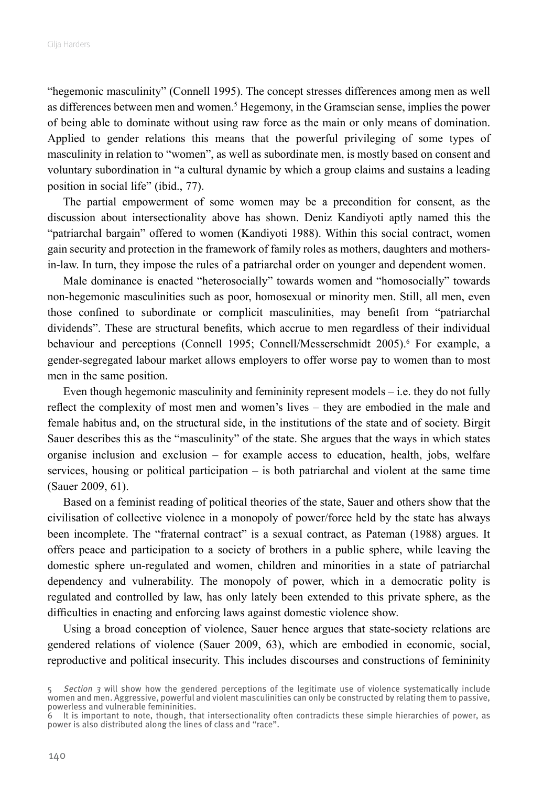"hegemonic masculinity" (Connell 1995). The concept stresses differences among men as well as differences between men and women.<sup>5</sup> Hegemony, in the Gramscian sense, implies the power of being able to dominate without using raw force as the main or only means of domination. Applied to gender relations this means that the powerful privileging of some types of masculinity in relation to "women", as well as subordinate men, is mostly based on consent and voluntary subordination in "a cultural dynamic by which a group claims and sustains a leading position in social life" (ibid., 77).

The partial empowerment of some women may be a precondition for consent, as the discussion about intersectionality above has shown. Deniz Kandiyoti aptly named this the "patriarchal bargain" offered to women (Kandiyoti 1988). Within this social contract, women gain security and protection in the framework of family roles as mothers, daughters and mothersin-law. In turn, they impose the rules of a patriarchal order on younger and dependent women.

Male dominance is enacted "heterosocially" towards women and "homosocially" towards non-hegemonic masculinities such as poor, homosexual or minority men. Still, all men, even those confined to subordinate or complicit masculinities, may benefit from "patriarchal dividends". These are structural benefits, which accrue to men regardless of their individual behaviour and perceptions (Connell 1995; Connell/Messerschmidt 2005).<sup>6</sup> For example, a gender-segregated labour market allows employers to offer worse pay to women than to most men in the same position.

Even though hegemonic masculinity and femininity represent models  $-$  i.e. they do not fully reflect the complexity of most men and women's lives – they are embodied in the male and female habitus and, on the structural side, in the institutions of the state and of society. Birgit Sauer describes this as the "masculinity" of the state. She argues that the ways in which states organise inclusion and exclusion – for example access to education, health, jobs, welfare services, housing or political participation – is both patriarchal and violent at the same time (Sauer 2009, 61).

Based on a feminist reading of political theories of the state, Sauer and others show that the civilisation of collective violence in a monopoly of power/force held by the state has always been incomplete. The "fraternal contract" is a sexual contract, as Pateman (1988) argues. It offers peace and participation to a society of brothers in a public sphere, while leaving the domestic sphere un-regulated and women, children and minorities in a state of patriarchal dependency and vulnerability. The monopoly of power, which in a democratic polity is regulated and controlled by law, has only lately been extended to this private sphere, as the difficulties in enacting and enforcing laws against domestic violence show.

Using a broad conception of violence, Sauer hence argues that state-society relations are gendered relations of violence (Sauer 2009, 63), which are embodied in economic, social, reproductive and political insecurity. This includes discourses and constructions of femininity

<sup>5</sup> Section 3 will show how the gendered perceptions of the legitimate use of violence systematically include women and men. Aggressive, powerful and violent masculinities can only be constructed by relating them to passive, powerless and vulnerable femininities.

<sup>6</sup> It is important to note, though, that intersectionality often contradicts these simple hierarchies of power, as power is also distributed along the lines of class and "race".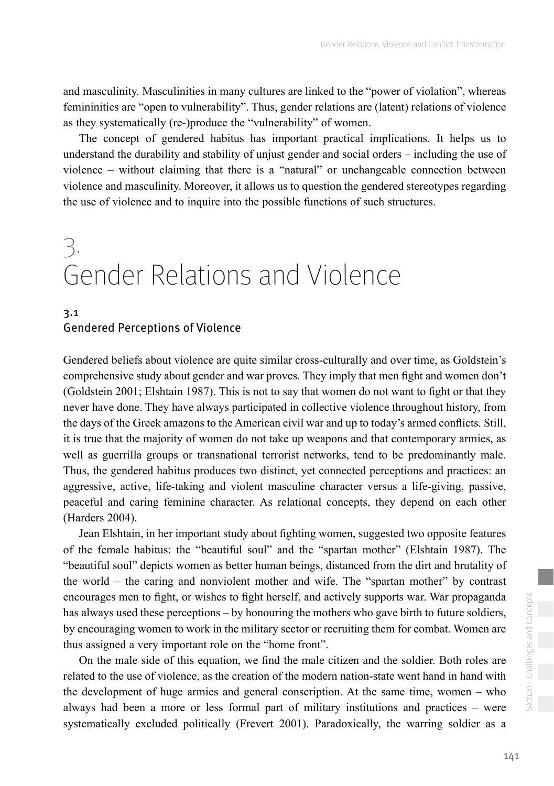<span id="page-10-0"></span>and masculinity. Masculinities in many cultures are linked to the "power of violation", whereas femininities are "open to vulnerability". Thus, gender relations are (latent) relations of violence as they systematically (re-)produce the "vulnerability" of women.

The concept of gendered habitus has important practical implications. It helps us to understand the durability and stability of unjust gender and social orders – including the use of violence – without claiming that there is a "natural" or unchangeable connection between violence and masculinity. Moreover, it allows us to question the gendered stereotypes regarding the use of violence and to inquire into the possible functions of such structures.

## 3. Gender Relations and Violence

#### 3.1 Gendered Perceptions of Violence

Gendered beliefs about violence are quite similar cross-culturally and over time, as Goldstein's comprehensive study about gender and war proves. They imply that men fight and women don't (Goldstein 2001; Elshtain 1987). This is not to say that women do not want to fight or that they never have done. They have always participated in collective violence throughout history, from the days of the Greek amazons to the American civil war and up to today's armed conflicts. Still, it is true that the majority of women do not take up weapons and that contemporary armies, as well as guerrilla groups or transnational terrorist networks, tend to be predominantly male. Thus, the gendered habitus produces two distinct, yet connected perceptions and practices: an aggressive, active, life-taking and violent masculine character versus a life-giving, passive, peaceful and caring feminine character. As relational concepts, they depend on each other (Harders 2004).

Jean Elshtain, in her important study about fighting women, suggested two opposite features of the female habitus: the "beautiful soul" and the "spartan mother" (Elshtain 1987). The "beautiful soul" depicts women as better human beings, distanced from the dirt and brutality of the world – the caring and nonviolent mother and wife. The "spartan mother" by contrast encourages men to fight, or wishes to fight herself, and actively supports war. War propaganda has always used these perceptions – by honouring the mothers who gave birth to future soldiers, by encouraging women to work in the military sector or recruiting them for combat. Women are thus assigned a very important role on the "home front".

On the male side of this equation, we find the male citizen and the soldier. Both roles are related to the use of violence, as the creation of the modern nation-state went hand in hand with the development of huge armies and general conscription. At the same time, women – who always had been a more or less formal part of military institutions and practices – were systematically excluded politically (Frevert 2001). Paradoxically, the warring soldier as a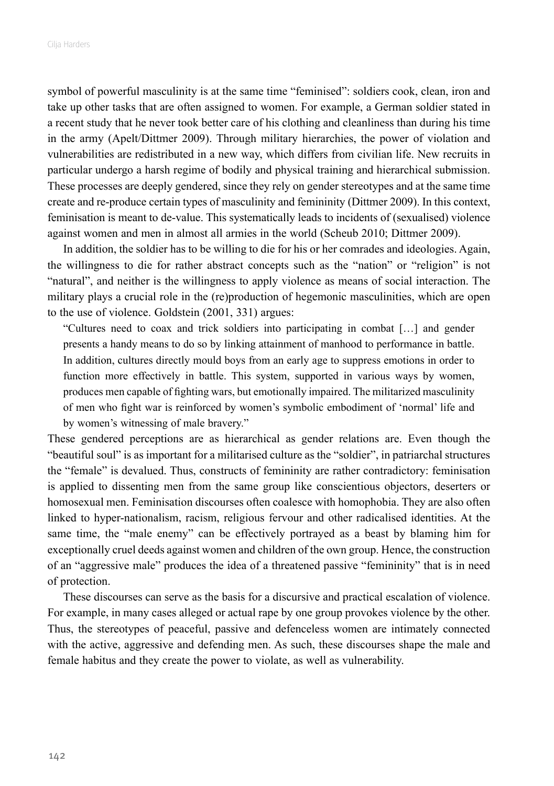symbol of powerful masculinity is at the same time "feminised": soldiers cook, clean, iron and take up other tasks that are often assigned to women. For example, a German soldier stated in a recent study that he never took better care of his clothing and cleanliness than during his time in the army (Apelt/Dittmer 2009). Through military hierarchies, the power of violation and vulnerabilities are redistributed in a new way, which differs from civilian life. New recruits in particular undergo a harsh regime of bodily and physical training and hierarchical submission. These processes are deeply gendered, since they rely on gender stereotypes and at the same time create and re-produce certain types of masculinity and femininity (Dittmer 2009). In this context, feminisation is meant to de-value. This systematically leads to incidents of (sexualised) violence against women and men in almost all armies in the world (Scheub 2010; Dittmer 2009).

In addition, the soldier has to be willing to die for his or her comrades and ideologies. Again, the willingness to die for rather abstract concepts such as the "nation" or "religion" is not "natural", and neither is the willingness to apply violence as means of social interaction. The military plays a crucial role in the (re)production of hegemonic masculinities, which are open to the use of violence. Goldstein (2001, 331) argues:

"Cultures need to coax and trick soldiers into participating in combat […] and gender presents a handy means to do so by linking attainment of manhood to performance in battle. In addition, cultures directly mould boys from an early age to suppress emotions in order to function more effectively in battle. This system, supported in various ways by women, produces men capable of fighting wars, but emotionally impaired. The militarized masculinity of men who fight war is reinforced by women's symbolic embodiment of 'normal' life and by women's witnessing of male bravery."

These gendered perceptions are as hierarchical as gender relations are. Even though the "beautiful soul" is as important for a militarised culture as the "soldier", in patriarchal structures the "female" is devalued. Thus, constructs of femininity are rather contradictory: feminisation is applied to dissenting men from the same group like conscientious objectors, deserters or homosexual men. Feminisation discourses often coalesce with homophobia. They are also often linked to hyper-nationalism, racism, religious fervour and other radicalised identities. At the same time, the "male enemy" can be effectively portrayed as a beast by blaming him for exceptionally cruel deeds against women and children of the own group. Hence, the construction of an "aggressive male" produces the idea of a threatened passive "femininity" that is in need of protection.

These discourses can serve as the basis for a discursive and practical escalation of violence. For example, in many cases alleged or actual rape by one group provokes violence by the other. Thus, the stereotypes of peaceful, passive and defenceless women are intimately connected with the active, aggressive and defending men. As such, these discourses shape the male and female habitus and they create the power to violate, as well as vulnerability.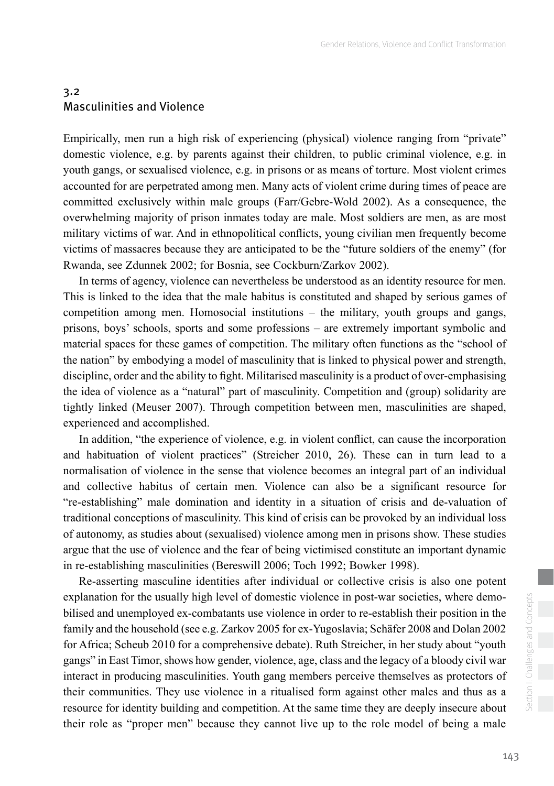#### <span id="page-12-0"></span>3.2 Masculinities and Violence

Empirically, men run a high risk of experiencing (physical) violence ranging from "private" domestic violence, e.g. by parents against their children, to public criminal violence, e.g. in youth gangs, or sexualised violence, e.g. in prisons or as means of torture. Most violent crimes accounted for are perpetrated among men. Many acts of violent crime during times of peace are committed exclusively within male groups (Farr/Gebre-Wold 2002). As a consequence, the overwhelming majority of prison inmates today are male. Most soldiers are men, as are most military victims of war. And in ethnopolitical conflicts, young civilian men frequently become victims of massacres because they are anticipated to be the "future soldiers of the enemy" (for Rwanda, see Zdunnek 2002; for Bosnia, see Cockburn/Zarkov 2002).

In terms of agency, violence can nevertheless be understood as an identity resource for men. This is linked to the idea that the male habitus is constituted and shaped by serious games of competition among men. Homosocial institutions – the military, youth groups and gangs, prisons, boys' schools, sports and some professions – are extremely important symbolic and material spaces for these games of competition. The military often functions as the "school of the nation" by embodying a model of masculinity that is linked to physical power and strength, discipline, order and the ability to fight. Militarised masculinity is a product of over-emphasising the idea of violence as a "natural" part of masculinity. Competition and (group) solidarity are tightly linked (Meuser 2007). Through competition between men, masculinities are shaped, experienced and accomplished.

In addition, "the experience of violence, e.g. in violent conflict, can cause the incorporation and habituation of violent practices" (Streicher 2010, 26). These can in turn lead to a normalisation of violence in the sense that violence becomes an integral part of an individual and collective habitus of certain men. Violence can also be a significant resource for "re-establishing" male domination and identity in a situation of crisis and de-valuation of traditional conceptions of masculinity. This kind of crisis can be provoked by an individual loss of autonomy, as studies about (sexualised) violence among men in prisons show. These studies argue that the use of violence and the fear of being victimised constitute an important dynamic in re-establishing masculinities (Bereswill 2006; Toch 1992; Bowker 1998).

Re-asserting masculine identities after individual or collective crisis is also one potent explanation for the usually high level of domestic violence in post-war societies, where demobilised and unemployed ex-combatants use violence in order to re-establish their position in the family and the household (see e.g. Zarkov 2005 for ex-Yugoslavia; Schäfer 2008 and Dolan 2002 for Africa; Scheub 2010 for a comprehensive debate). Ruth Streicher, in her study about "youth gangs" in East Timor, shows how gender, violence, age, class and the legacy of a bloody civil war interact in producing masculinities. Youth gang members perceive themselves as protectors of their communities. They use violence in a ritualised form against other males and thus as a resource for identity building and competition. At the same time they are deeply insecure about their role as "proper men" because they cannot live up to the role model of being a male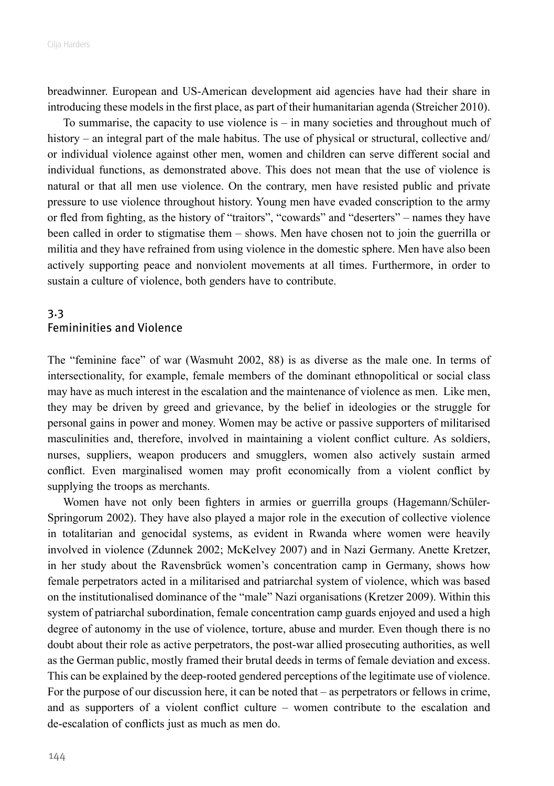<span id="page-13-0"></span>breadwinner. European and US-American development aid agencies have had their share in introducing these models in the first place, as part of their humanitarian agenda (Streicher 2010).

To summarise, the capacity to use violence is – in many societies and throughout much of history – an integral part of the male habitus. The use of physical or structural, collective and/ or individual violence against other men, women and children can serve different social and individual functions, as demonstrated above. This does not mean that the use of violence is natural or that all men use violence. On the contrary, men have resisted public and private pressure to use violence throughout history. Young men have evaded conscription to the army or fled from fighting, as the history of "traitors", "cowards" and "deserters" – names they have been called in order to stigmatise them – shows. Men have chosen not to join the guerrilla or militia and they have refrained from using violence in the domestic sphere. Men have also been actively supporting peace and nonviolent movements at all times. Furthermore, in order to sustain a culture of violence, both genders have to contribute.

#### 3.3 Femininities and Violence

The "feminine face" of war (Wasmuht 2002, 88) is as diverse as the male one. In terms of intersectionality, for example, female members of the dominant ethnopolitical or social class may have as much interest in the escalation and the maintenance of violence as men. Like men, they may be driven by greed and grievance, by the belief in ideologies or the struggle for personal gains in power and money. Women may be active or passive supporters of militarised masculinities and, therefore, involved in maintaining a violent conflict culture. As soldiers, nurses, suppliers, weapon producers and smugglers, women also actively sustain armed conflict. Even marginalised women may profit economically from a violent conflict by supplying the troops as merchants.

Women have not only been fighters in armies or guerrilla groups (Hagemann/Schüler-Springorum 2002). They have also played a major role in the execution of collective violence in totalitarian and genocidal systems, as evident in Rwanda where women were heavily involved in violence (Zdunnek 2002; McKelvey 2007) and in Nazi Germany. Anette Kretzer, in her study about the Ravensbrück women's concentration camp in Germany, shows how female perpetrators acted in a militarised and patriarchal system of violence, which was based on the institutionalised dominance of the "male" Nazi organisations (Kretzer 2009). Within this system of patriarchal subordination, female concentration camp guards enjoyed and used a high degree of autonomy in the use of violence, torture, abuse and murder. Even though there is no doubt about their role as active perpetrators, the post-war allied prosecuting authorities, as well as the German public, mostly framed their brutal deeds in terms of female deviation and excess. This can be explained by the deep-rooted gendered perceptions of the legitimate use of violence. For the purpose of our discussion here, it can be noted that – as perpetrators or fellows in crime, and as supporters of a violent conflict culture – women contribute to the escalation and de-escalation of conflicts just as much as men do.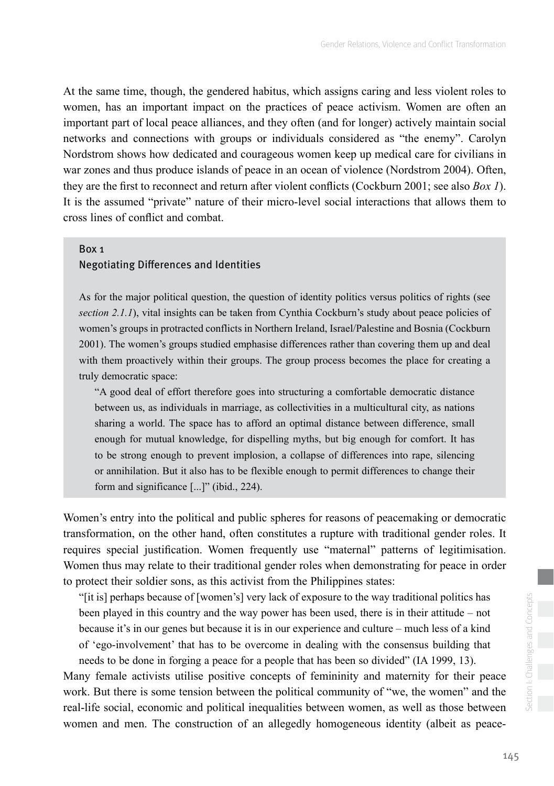At the same time, though, the gendered habitus, which assigns caring and less violent roles to women, has an important impact on the practices of peace activism. Women are often an important part of local peace alliances, and they often (and for longer) actively maintain social networks and connections with groups or individuals considered as "the enemy". Carolyn Nordstrom shows how dedicated and courageous women keep up medical care for civilians in war zones and thus produce islands of peace in an ocean of violence (Nordstrom 2004). Often, they are the first to reconnect and return after violent conflicts (Cockburn 2001; see also *Box 1*). It is the assumed "private" nature of their micro-level social interactions that allows them to cross lines of conflict and combat.

#### Box 1 Negotiating Differences and Identities

As for the major political question, the question of identity politics versus politics of rights (see *section 2.1.1*), vital insights can be taken from Cynthia Cockburn's study about peace policies of women's groups in protracted conflicts in Northern Ireland, Israel/Palestine and Bosnia (Cockburn 2001). The women's groups studied emphasise differences rather than covering them up and deal with them proactively within their groups. The group process becomes the place for creating a truly democratic space:

"A good deal of effort therefore goes into structuring a comfortable democratic distance between us, as individuals in marriage, as collectivities in a multicultural city, as nations sharing a world. The space has to afford an optimal distance between difference, small enough for mutual knowledge, for dispelling myths, but big enough for comfort. It has to be strong enough to prevent implosion, a collapse of differences into rape, silencing or annihilation. But it also has to be flexible enough to permit differences to change their form and significance [...]" (ibid., 224).

Women's entry into the political and public spheres for reasons of peacemaking or democratic transformation, on the other hand, often constitutes a rupture with traditional gender roles. It requires special justification. Women frequently use "maternal" patterns of legitimisation. Women thus may relate to their traditional gender roles when demonstrating for peace in order to protect their soldier sons, as this activist from the Philippines states:

"[it is] perhaps because of [women's] very lack of exposure to the way traditional politics has been played in this country and the way power has been used, there is in their attitude – not because it's in our genes but because it is in our experience and culture – much less of a kind of 'ego-involvement' that has to be overcome in dealing with the consensus building that needs to be done in forging a peace for a people that has been so divided" (IA 1999, 13).

Many female activists utilise positive concepts of femininity and maternity for their peace work. But there is some tension between the political community of "we, the women" and the real-life social, economic and political inequalities between women, as well as those between women and men. The construction of an allegedly homogeneous identity (albeit as peace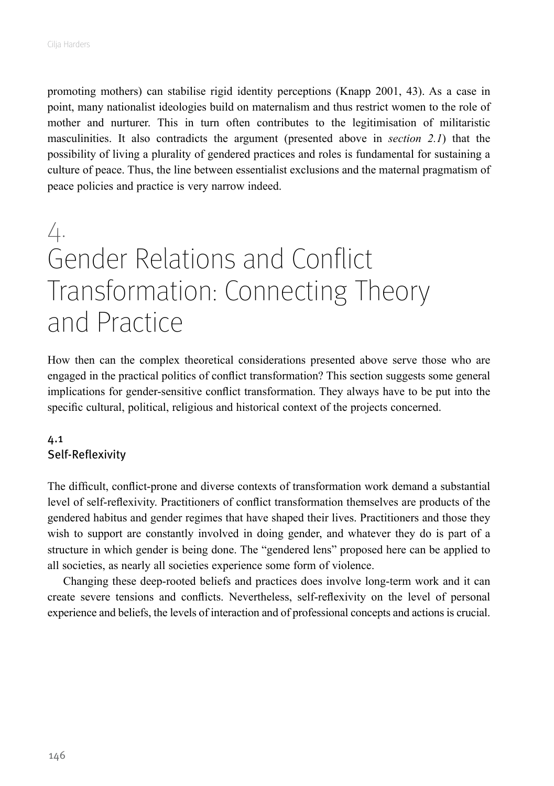<span id="page-15-0"></span>promoting mothers) can stabilise rigid identity perceptions (Knapp 2001, 43). As a case in point, many nationalist ideologies build on maternalism and thus restrict women to the role of mother and nurturer. This in turn often contributes to the legitimisation of militaristic masculinities. It also contradicts the argument (presented above in *section 2.1*) that the possibility of living a plurality of gendered practices and roles is fundamental for sustaining a culture of peace. Thus, the line between essentialist exclusions and the maternal pragmatism of peace policies and practice is very narrow indeed.

## $\sqrt{4}$ . Gender Relations and Conflict Transformation: Connecting Theory and Practice

How then can the complex theoretical considerations presented above serve those who are engaged in the practical politics of conflict transformation? This section suggests some general implications for gender-sensitive conflict transformation. They always have to be put into the specific cultural, political, religious and historical context of the projects concerned.

#### 4.1 Self-Reflexivity

The difficult, conflict-prone and diverse contexts of transformation work demand a substantial level of self-reflexivity. Practitioners of conflict transformation themselves are products of the gendered habitus and gender regimes that have shaped their lives. Practitioners and those they wish to support are constantly involved in doing gender, and whatever they do is part of a structure in which gender is being done. The "gendered lens" proposed here can be applied to all societies, as nearly all societies experience some form of violence.

Changing these deep-rooted beliefs and practices does involve long-term work and it can create severe tensions and conflicts. Nevertheless, self-reflexivity on the level of personal experience and beliefs, the levels of interaction and of professional concepts and actions is crucial.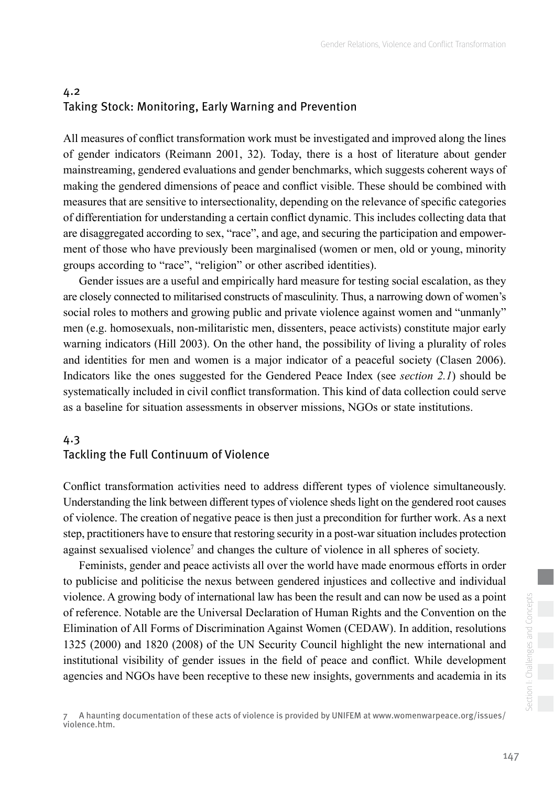#### <span id="page-16-0"></span>4.2 Taking Stock: Monitoring, Early Warning and Prevention

All measures of conflict transformation work must be investigated and improved along the lines of gender indicators (Reimann 2001, 32). Today, there is a host of literature about gender mainstreaming, gendered evaluations and gender benchmarks, which suggests coherent ways of making the gendered dimensions of peace and conflict visible. These should be combined with measures that are sensitive to intersectionality, depending on the relevance of specific categories of differentiation for understanding a certain conflict dynamic. This includes collecting data that are disaggregated according to sex, "race", and age, and securing the participation and empowerment of those who have previously been marginalised (women or men, old or young, minority groups according to "race", "religion" or other ascribed identities).

Gender issues are a useful and empirically hard measure for testing social escalation, as they are closely connected to militarised constructs of masculinity. Thus, a narrowing down of women's social roles to mothers and growing public and private violence against women and "unmanly" men (e.g. homosexuals, non-militaristic men, dissenters, peace activists) constitute major early warning indicators (Hill 2003). On the other hand, the possibility of living a plurality of roles and identities for men and women is a major indicator of a peaceful society (Clasen 2006). Indicators like the ones suggested for the Gendered Peace Index (see *section 2.1*) should be systematically included in civil conflict transformation. This kind of data collection could serve as a baseline for situation assessments in observer missions, NGOs or state institutions.

#### 4.3 Tackling the Full Continuum of Violence

Conflict transformation activities need to address different types of violence simultaneously. Understanding the link between different types of violence sheds light on the gendered root causes of violence. The creation of negative peace is then just a precondition for further work. As a next step, practitioners have to ensure that restoring security in a post-war situation includes protection against sexualised violence<sup>7</sup> and changes the culture of violence in all spheres of society.

Feminists, gender and peace activists all over the world have made enormous efforts in order to publicise and politicise the nexus between gendered injustices and collective and individual violence. A growing body of international law has been the result and can now be used as a point of reference. Notable are the Universal Declaration of Human Rights and the Convention on the Elimination of All Forms of Discrimination Against Women (CEDAW). In addition, resolutions 1325 (2000) and 1820 (2008) of the UN Security Council highlight the new international and institutional visibility of gender issues in the field of peace and conflict. While development agencies and NGOs have been receptive to these new insights, governments and academia in its

7 A haunting documentation of these acts of violence is provided by UNIFEM at www.womenwarpeace.org/issues/ violence.htm.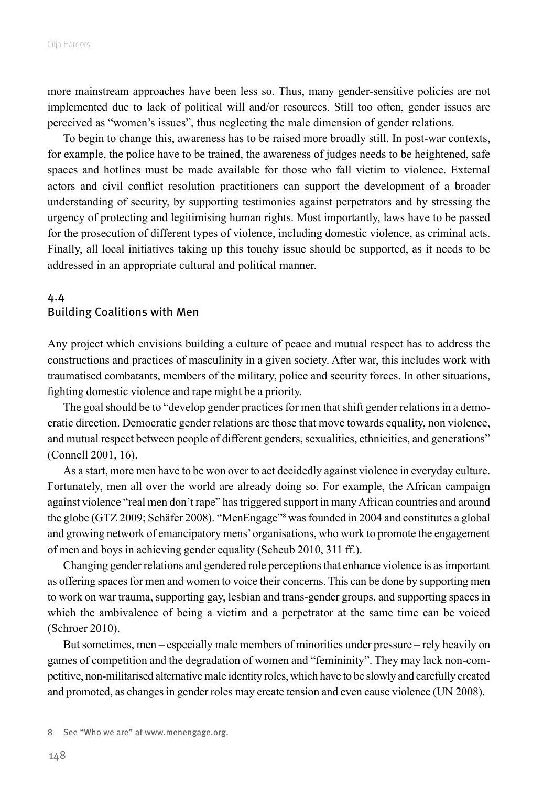<span id="page-17-0"></span>more mainstream approaches have been less so. Thus, many gender-sensitive policies are not implemented due to lack of political will and/or resources. Still too often, gender issues are perceived as "women's issues", thus neglecting the male dimension of gender relations.

To begin to change this, awareness has to be raised more broadly still. In post-war contexts, for example, the police have to be trained, the awareness of judges needs to be heightened, safe spaces and hotlines must be made available for those who fall victim to violence. External actors and civil conflict resolution practitioners can support the development of a broader understanding of security, by supporting testimonies against perpetrators and by stressing the urgency of protecting and legitimising human rights. Most importantly, laws have to be passed for the prosecution of different types of violence, including domestic violence, as criminal acts. Finally, all local initiatives taking up this touchy issue should be supported, as it needs to be addressed in an appropriate cultural and political manner.

#### 4.4 Building Coalitions with Men

Any project which envisions building a culture of peace and mutual respect has to address the constructions and practices of masculinity in a given society. After war, this includes work with traumatised combatants, members of the military, police and security forces. In other situations, fighting domestic violence and rape might be a priority.

The goal should be to "develop gender practices for men that shift gender relations in a democratic direction. Democratic gender relations are those that move towards equality, non violence, and mutual respect between people of different genders, sexualities, ethnicities, and generations" (Connell 2001, 16).

As a start, more men have to be won over to act decidedly against violence in everyday culture. Fortunately, men all over the world are already doing so. For example, the African campaign against violence "real men don't rape" has triggered support in many African countries and around the globe (GTZ 2009; Schäfer 2008). "MenEngage"<sup>8</sup> was founded in 2004 and constitutes a global and growing network of emancipatory mens' organisations, who work to promote the engagement of men and boys in achieving gender equality (Scheub 2010, 311 ff.).

Changing gender relations and gendered role perceptions that enhance violence is as important as offering spaces for men and women to voice their concerns. This can be done by supporting men to work on war trauma, supporting gay, lesbian and trans-gender groups, and supporting spaces in which the ambivalence of being a victim and a perpetrator at the same time can be voiced (Schroer 2010).

But sometimes, men – especially male members of minorities under pressure – rely heavily on games of competition and the degradation of women and "femininity". They may lack non-competitive, non-militarised alternative male identity roles, which have to be slowly and carefully created and promoted, as changes in gender roles may create tension and even cause violence (UN 2008).

8 See "Who we are" at www.menengage.org.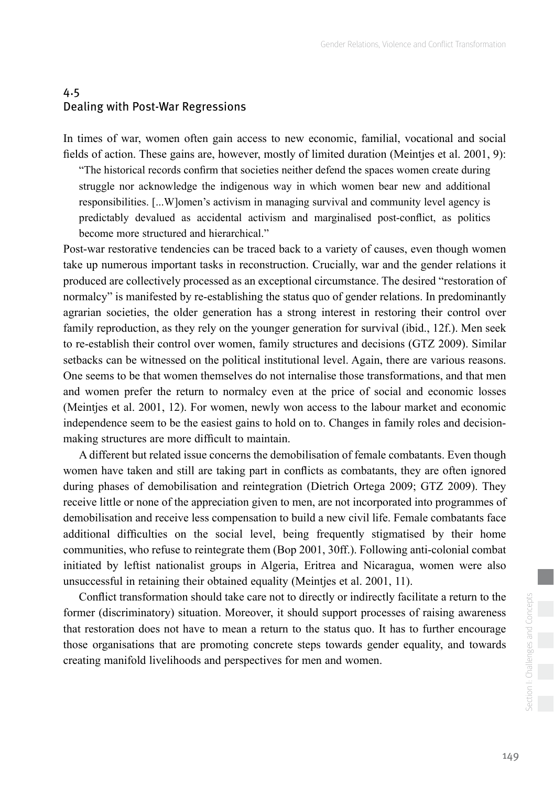#### <span id="page-18-0"></span>4.5 Dealing with Post-War Regressions

In times of war, women often gain access to new economic, familial, vocational and social fields of action. These gains are, however, mostly of limited duration (Meintjes et al. 2001, 9):

"The historical records confirm that societies neither defend the spaces women create during struggle nor acknowledge the indigenous way in which women bear new and additional responsibilities. [...W]omen's activism in managing survival and community level agency is predictably devalued as accidental activism and marginalised post-conflict, as politics become more structured and hierarchical."

Post-war restorative tendencies can be traced back to a variety of causes, even though women take up numerous important tasks in reconstruction. Crucially, war and the gender relations it produced are collectively processed as an exceptional circumstance. The desired "restoration of normalcy" is manifested by re-establishing the status quo of gender relations. In predominantly agrarian societies, the older generation has a strong interest in restoring their control over family reproduction, as they rely on the younger generation for survival (ibid., 12f.). Men seek to re-establish their control over women, family structures and decisions (GTZ 2009). Similar setbacks can be witnessed on the political institutional level. Again, there are various reasons. One seems to be that women themselves do not internalise those transformations, and that men and women prefer the return to normalcy even at the price of social and economic losses (Meintjes et al. 2001, 12). For women, newly won access to the labour market and economic independence seem to be the easiest gains to hold on to. Changes in family roles and decisionmaking structures are more difficult to maintain.

A different but related issue concerns the demobilisation of female combatants. Even though women have taken and still are taking part in conflicts as combatants, they are often ignored during phases of demobilisation and reintegration (Dietrich Ortega 2009; GTZ 2009). They receive little or none of the appreciation given to men, are not incorporated into programmes of demobilisation and receive less compensation to build a new civil life. Female combatants face additional difficulties on the social level, being frequently stigmatised by their home communities, who refuse to reintegrate them (Bop 2001, 30ff.). Following anti-colonial combat initiated by leftist nationalist groups in Algeria, Eritrea and Nicaragua, women were also unsuccessful in retaining their obtained equality (Meintjes et al. 2001, 11).

Conflict transformation should take care not to directly or indirectly facilitate a return to the former (discriminatory) situation. Moreover, it should support processes of raising awareness that restoration does not have to mean a return to the status quo. It has to further encourage those organisations that are promoting concrete steps towards gender equality, and towards creating manifold livelihoods and perspectives for men and women.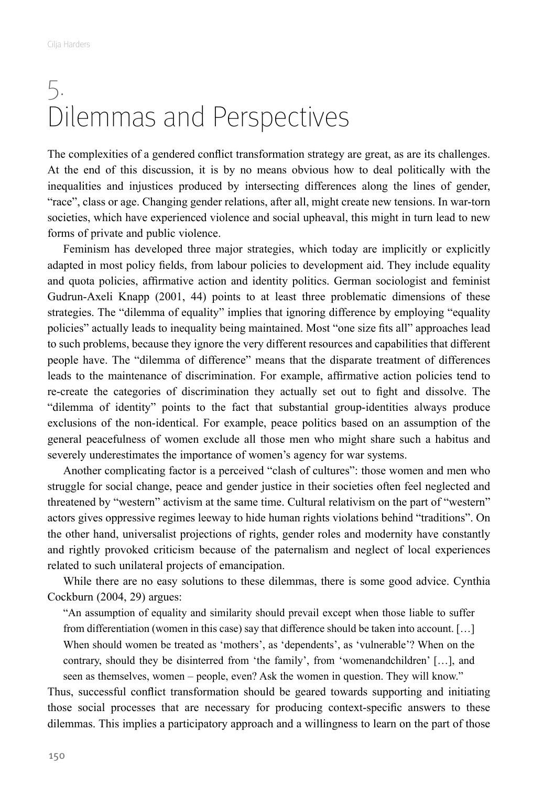### <span id="page-19-0"></span>5. Dilemmas and Perspectives

The complexities of a gendered conflict transformation strategy are great, as are its challenges. At the end of this discussion, it is by no means obvious how to deal politically with the inequalities and injustices produced by intersecting differences along the lines of gender, "race", class or age. Changing gender relations, after all, might create new tensions. In war-torn societies, which have experienced violence and social upheaval, this might in turn lead to new forms of private and public violence.

Feminism has developed three major strategies, which today are implicitly or explicitly adapted in most policy fields, from labour policies to development aid. They include equality and quota policies, affirmative action and identity politics. German sociologist and feminist Gudrun-Axeli Knapp (2001, 44) points to at least three problematic dimensions of these strategies. The "dilemma of equality" implies that ignoring difference by employing "equality policies" actually leads to inequality being maintained. Most "one size fits all" approaches lead to such problems, because they ignore the very different resources and capabilities that different people have. The "dilemma of difference" means that the disparate treatment of differences leads to the maintenance of discrimination. For example, affirmative action policies tend to re-create the categories of discrimination they actually set out to fight and dissolve. The "dilemma of identity" points to the fact that substantial group-identities always produce exclusions of the non-identical. For example, peace politics based on an assumption of the general peacefulness of women exclude all those men who might share such a habitus and severely underestimates the importance of women's agency for war systems.

Another complicating factor is a perceived "clash of cultures": those women and men who struggle for social change, peace and gender justice in their societies often feel neglected and threatened by "western" activism at the same time. Cultural relativism on the part of "western" actors gives oppressive regimes leeway to hide human rights violations behind "traditions". On the other hand, universalist projections of rights, gender roles and modernity have constantly and rightly provoked criticism because of the paternalism and neglect of local experiences related to such unilateral projects of emancipation.

While there are no easy solutions to these dilemmas, there is some good advice. Cynthia Cockburn (2004, 29) argues:

"An assumption of equality and similarity should prevail except when those liable to suffer from differentiation (women in this case) say that difference should be taken into account. […] When should women be treated as 'mothers', as 'dependents', as 'vulnerable'? When on the contrary, should they be disinterred from 'the family', from 'womenandchildren' […], and seen as themselves, women – people, even? Ask the women in question. They will know."

Thus, successful conflict transformation should be geared towards supporting and initiating those social processes that are necessary for producing context-specific answers to these dilemmas. This implies a participatory approach and a willingness to learn on the part of those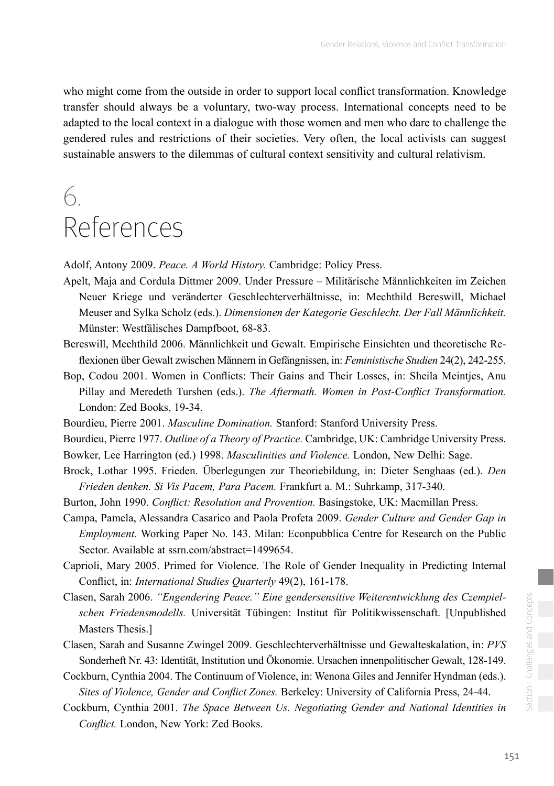<span id="page-20-0"></span>who might come from the outside in order to support local conflict transformation. Knowledge transfer should always be a voluntary, two-way process. International concepts need to be adapted to the local context in a dialogue with those women and men who dare to challenge the gendered rules and restrictions of their societies. Very often, the local activists can suggest sustainable answers to the dilemmas of cultural context sensitivity and cultural relativism.

## 6. References

Adolf, Antony 2009. *Peace. A World History.* Cambridge: Policy Press.

- Apelt, Maja and Cordula Dittmer 2009. Under Pressure Militärische Männlichkeiten im Zeichen Neuer Kriege und veränderter Geschlechterverhältnisse, in: Mechthild Bereswill, Michael Meuser and Sylka Scholz (eds.). *Dimensionen der Kategorie Geschlecht. Der Fall Männlichkeit.* Münster: Westfälisches Dampfboot, 68-83.
- Bereswill, Mechthild 2006. Männlichkeit und Gewalt. Empirische Einsichten und theoretische Reflexionen über Gewalt zwischen Männern in Gefängnissen, in: *Feministische Studien* 24(2), 242-255.
- Bop, Codou 2001. Women in Conflicts: Their Gains and Their Losses, in: Sheila Meintjes, Anu Pillay and Meredeth Turshen (eds.). *The Aftermath. Women in Post-Conflict Transformation.*  London: Zed Books, 19-34.
- Bourdieu, Pierre 2001. *Masculine Domination.* Stanford: Stanford University Press.

Bourdieu, Pierre 1977. *Outline of a Theory of Practice.* Cambridge, UK: Cambridge University Press.

Bowker, Lee Harrington (ed.) 1998. *Masculinities and Violence.* London, New Delhi: Sage.

- Brock, Lothar 1995. Frieden. Überlegungen zur Theoriebildung, in: Dieter Senghaas (ed.). *Den Frieden denken. Si Vis Pacem, Para Pacem.* Frankfurt a. M.: Suhrkamp, 317-340.
- Burton, John 1990. *Conflict: Resolution and Provention.* Basingstoke, UK: Macmillan Press.
- Campa, Pamela, Alessandra Casarico and Paola Profeta 2009. *Gender Culture and Gender Gap in Employment.* Working Paper No. 143. Milan: Econpubblica Centre for Research on the Public Sector. Available at ssrn.com/abstract=1499654.
- Caprioli, Mary 2005. Primed for Violence. The Role of Gender Inequality in Predicting Internal Conflict, in: *International Studies Quarterly* 49(2), 161-178.
- Clasen, Sarah 2006. *"Engendering Peace." Eine gendersensitive Weiterentwicklung des Czempielschen Friedensmodells.* Universität Tübingen: Institut für Politikwissenschaft. [Unpublished Masters Thesis.]
- Clasen, Sarah and Susanne Zwingel 2009. Geschlechterverhältnisse und Gewalteskalation, in: *PVS*  Sonderheft Nr. 43: Identität, Institution und Ökonomie. Ursachen innenpolitischer Gewalt, 128-149.
- Cockburn, Cynthia 2004. The Continuum of Violence, in: Wenona Giles and Jennifer Hyndman (eds.). *Sites of Violence, Gender and Conflict Zones.* Berkeley: University of California Press, 24-44.
- Cockburn, Cynthia 2001. *The Space Between Us. Negotiating Gender and National Identities in Conflict.* London, New York: Zed Books.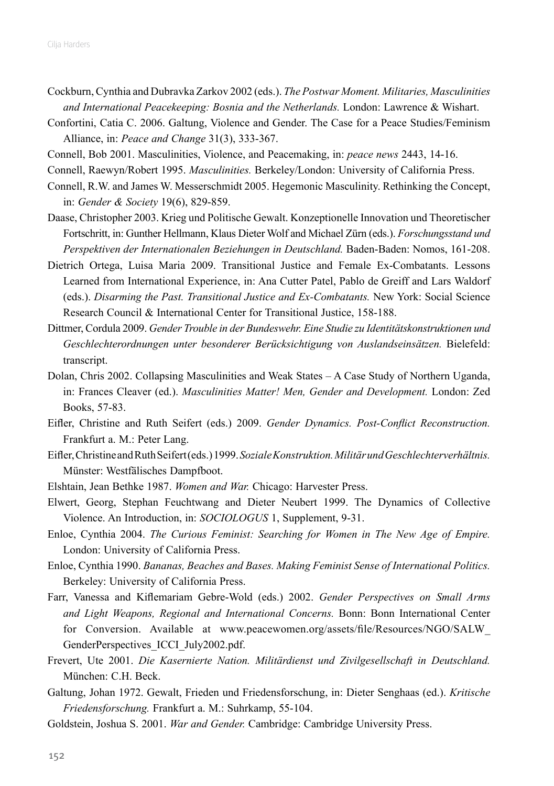#### Cilja Harders

- Cockburn, Cynthia and Dubravka Zarkov 2002 (eds.). *The Postwar Moment. Militaries, Masculinities and International Peacekeeping: Bosnia and the Netherlands.* London: Lawrence & Wishart.
- Confortini, Catia C. 2006. Galtung, Violence and Gender. The Case for a Peace Studies/Feminism Alliance, in: *Peace and Change* 31(3), 333-367.
- Connell, Bob 2001. Masculinities, Violence, and Peacemaking, in: *peace news* 2443, 14-16.
- Connell, Raewyn/Robert 1995. *Masculinities.* Berkeley/London: University of California Press.
- Connell, R.W. and James W. Messerschmidt 2005. Hegemonic Masculinity. Rethinking the Concept, in: *Gender & Society* 19(6), 829-859.
- Daase, Christopher 2003. Krieg und Politische Gewalt. Konzeptionelle Innovation und Theoretischer Fortschritt, in: Gunther Hellmann, Klaus Dieter Wolf and Michael Zürn (eds.). *Forschungsstand und Perspektiven der Internationalen Beziehungen in Deutschland.* Baden-Baden: Nomos, 161-208.
- Dietrich Ortega, Luisa Maria 2009. Transitional Justice and Female Ex-Combatants. Lessons Learned from International Experience, in: Ana Cutter Patel, Pablo de Greiff and Lars Waldorf (eds.). *Disarming the Past. Transitional Justice and Ex-Combatants.* New York: Social Science Research Council & International Center for Transitional Justice, 158-188.
- Dittmer, Cordula 2009. *Gender Trouble in der Bundeswehr. Eine Studie zu Identitätskonstruktionen und Geschlechterordnungen unter besonderer Berücksichtigung von Auslandseinsätzen.* Bielefeld: transcript.
- Dolan, Chris 2002. Collapsing Masculinities and Weak States A Case Study of Northern Uganda, in: Frances Cleaver (ed.). *Masculinities Matter! Men, Gender and Development.* London: Zed Books, 57-83.
- Eifler, Christine and Ruth Seifert (eds.) 2009. *Gender Dynamics. Post-Conflict Reconstruction.* Frankfurt a. M.: Peter Lang.
- Eifler, Christine and Ruth Seifert (eds.) 1999. *Soziale Konstruktion. Militär und Geschlechterverhältnis.*  Münster: Westfälisches Dampfboot.
- Elshtain, Jean Bethke 1987. *Women and War.* Chicago: Harvester Press.
- Elwert, Georg, Stephan Feuchtwang and Dieter Neubert 1999. The Dynamics of Collective Violence. An Introduction, in: *SOCIOLOGUS* 1, Supplement, 9-31.
- Enloe, Cynthia 2004. *The Curious Feminist: Searching for Women in The New Age of Empire.* London: University of California Press.
- Enloe, Cynthia 1990. *Bananas, Beaches and Bases. Making Feminist Sense of International Politics.* Berkeley: University of California Press.
- Farr, Vanessa and Kiflemariam Gebre-Wold (eds.) 2002. *Gender Perspectives on Small Arms and Light Weapons, Regional and International Concerns.* Bonn: Bonn International Center for Conversion. Available at www.peacewomen.org/assets/file/Resources/NGO/SALW\_ GenderPerspectives\_ICCI\_July2002.pdf.
- Frevert, Ute 2001. *Die Kasernierte Nation. Militärdienst und Zivilgesellschaft in Deutschland.* München: C.H. Beck.
- Galtung, Johan 1972. Gewalt, Frieden und Friedensforschung, in: Dieter Senghaas (ed.). *Kritische Friedensforschung.* Frankfurt a. M.: Suhrkamp, 55-104.
- Goldstein, Joshua S. 2001. *War and Gender.* Cambridge: Cambridge University Press.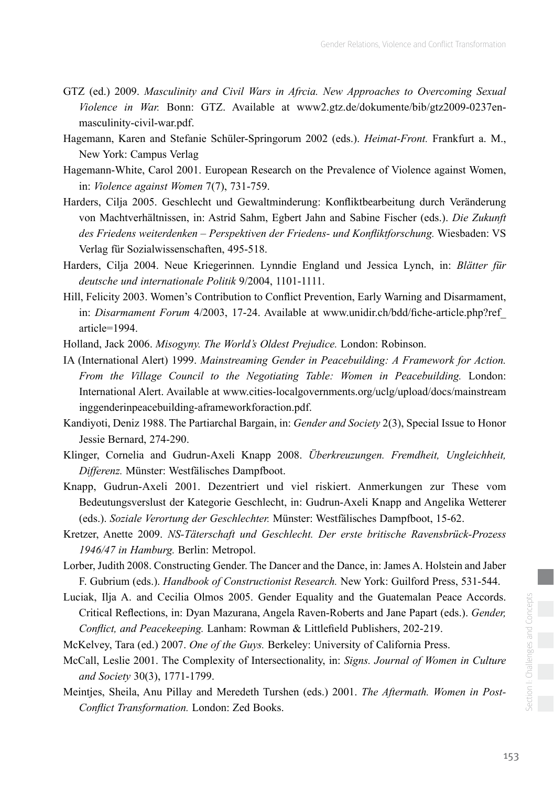- GTZ (ed.) 2009. *Masculinity and Civil Wars in Afrcia. New Approaches to Overcoming Sexual Violence in War.* Bonn: GTZ. Available at www2.gtz.de/dokumente/bib/gtz2009-0237enmasculinity-civil-war.pdf.
- Hagemann, Karen and Stefanie Schüler-Springorum 2002 (eds.). *Heimat-Front.* Frankfurt a. M., New York: Campus Verlag
- Hagemann-White, Carol 2001. European Research on the Prevalence of Violence against Women, in: *Violence against Women* 7(7), 731-759.
- Harders, Cilja 2005. Geschlecht und Gewaltminderung: Konfliktbearbeitung durch Veränderung von Machtverhältnissen, in: Astrid Sahm, Egbert Jahn and Sabine Fischer (eds.). *Die Zukunft des Friedens weiterdenken – Perspektiven der Friedens- und Konfliktforschung.* Wiesbaden: VS Verlag für Sozialwissenschaften, 495-518.
- Harders, Cilja 2004. Neue Kriegerinnen. Lynndie England und Jessica Lynch, in: *Blätter für deutsche und internationale Politik* 9/2004, 1101-1111.
- Hill, Felicity 2003. Women's Contribution to Conflict Prevention, Early Warning and Disarmament, in: *Disarmament Forum* 4/2003, 17-24. Available at www.unidir.ch/bdd/fiche-article.php?ref\_ article=1994.
- Holland, Jack 2006. *Misogyny. The World's Oldest Prejudice.* London: Robinson.
- IA (International Alert) 1999. *Mainstreaming Gender in Peacebuilding: A Framework for Action. From the Village Council to the Negotiating Table: Women in Peacebuilding.* London: International Alert. Available at www.cities-localgovernments.org/uclg/upload/docs/mainstream inggenderinpeacebuilding-aframeworkforaction.pdf.
- Kandiyoti, Deniz 1988. The Partiarchal Bargain, in: *Gender and Society* 2(3), Special Issue to Honor Jessie Bernard, 274-290.
- Klinger, Cornelia and Gudrun-Axeli Knapp 2008. *Überkreuzungen. Fremdheit, Ungleichheit, Differenz.* Münster: Westfälisches Dampfboot.
- Knapp, Gudrun-Axeli 2001. Dezentriert und viel riskiert. Anmerkungen zur These vom Bedeutungsverslust der Kategorie Geschlecht, in: Gudrun-Axeli Knapp and Angelika Wetterer (eds.). *Soziale Verortung der Geschlechter.* Münster: Westfälisches Dampfboot, 15-62.
- Kretzer, Anette 2009. *NS-Täterschaft und Geschlecht. Der erste britische Ravensbrück-Prozess 1946/47 in Hamburg.* Berlin: Metropol.
- Lorber, Judith 2008. Constructing Gender. The Dancer and the Dance, in: James A. Holstein and Jaber F. Gubrium (eds.). *Handbook of Constructionist Research.* New York: Guilford Press, 531-544.
- Luciak, Ilja A. and Cecilia Olmos 2005. Gender Equality and the Guatemalan Peace Accords. Critical Reflections, in: Dyan Mazurana, Angela Raven-Roberts and Jane Papart (eds.). *Gender, Conflict, and Peacekeeping.* Lanham: Rowman & Littlefield Publishers, 202-219.
- McKelvey, Tara (ed.) 2007. *One of the Guys.* Berkeley: University of California Press.
- McCall, Leslie 2001. The Complexity of Intersectionality, in: *Signs. Journal of Women in Culture and Society* 30(3), 1771-1799.
- Meintjes, Sheila, Anu Pillay and Meredeth Turshen (eds.) 2001. *The Aftermath. Women in Post-Conflict Transformation.* London: Zed Books.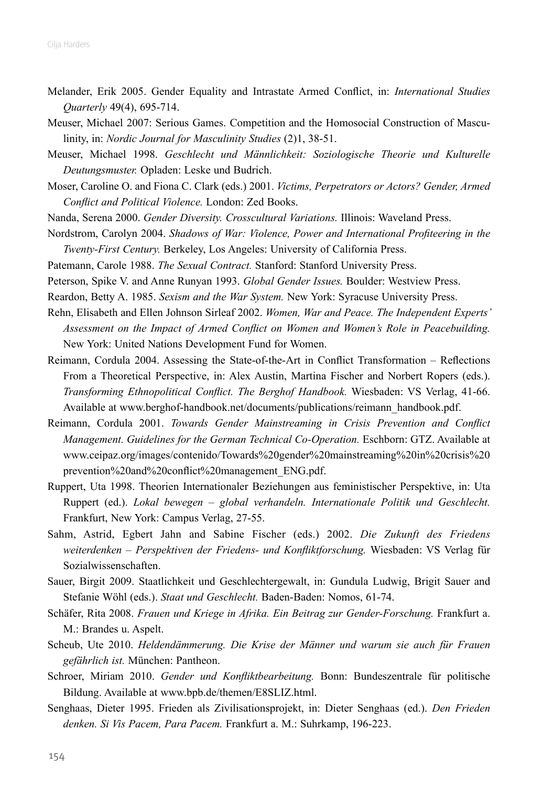- Melander, Erik 2005. Gender Equality and Intrastate Armed Conflict, in: *International Studies Quarterly* 49(4), 695-714.
- Meuser, Michael 2007: Serious Games. Competition and the Homosocial Construction of Masculinity, in: *Nordic Journal for Masculinity Studies* (2)1, 38-51.

Meuser, Michael 1998. *Geschlecht und Männlichkeit: Soziologische Theorie und Kulturelle Deutungsmuster.* Opladen: Leske und Budrich.

- Moser, Caroline O. and Fiona C. Clark (eds.) 2001. *Victims, Perpetrators or Actors? Gender, Armed Conflict and Political Violence.* London: Zed Books.
- Nanda, Serena 2000. *Gender Diversity. Crosscultural Variations.* Illinois: Waveland Press.
- Nordstrom, Carolyn 2004. *Shadows of War: Violence, Power and International Profiteering in the Twenty-First Century.* Berkeley, Los Angeles: University of California Press.
- Patemann, Carole 1988. *The Sexual Contract.* Stanford: Stanford University Press.
- Peterson, Spike V. and Anne Runyan 1993. *Global Gender Issues.* Boulder: Westview Press.
- Reardon, Betty A. 1985. *Sexism and the War System.* New York: Syracuse University Press.
- Rehn, Elisabeth and Ellen Johnson Sirleaf 2002. *Women, War and Peace. The Independent Experts' Assessment on the Impact of Armed Conflict on Women and Women's Role in Peacebuilding.* New York: United Nations Development Fund for Women.
- Reimann, Cordula 2004. Assessing the State-of-the-Art in Conflict Transformation Reflections From a Theoretical Perspective, in: Alex Austin, Martina Fischer and Norbert Ropers (eds.). *Transforming Ethnopolitical Conflict. The Berghof Handbook.* Wiesbaden: VS Verlag, 41-66. Available at www.berghof-handbook.net/documents/publications/reimann\_handbook.pdf.
- Reimann, Cordula 2001. *Towards Gender Mainstreaming in Crisis Prevention and Conflict Management. Guidelines for the German Technical Co-Operation.* Eschborn: GTZ. Available at www.ceipaz.org/images/contenido/Towards%20gender%20mainstreaming%20in%20crisis%20 prevention%20and%20conflict%20management\_ENG.pdf.
- Ruppert, Uta 1998. Theorien Internationaler Beziehungen aus feministischer Perspektive, in: Uta Ruppert (ed.). *Lokal bewegen – global verhandeln. Internationale Politik und Geschlecht.*  Frankfurt, New York: Campus Verlag, 27-55.
- Sahm, Astrid, Egbert Jahn and Sabine Fischer (eds.) 2002. *Die Zukunft des Friedens weiterdenken – Perspektiven der Friedens- und Konfliktforschung.* Wiesbaden: VS Verlag für Sozialwissenschaften.
- Sauer, Birgit 2009. Staatlichkeit und Geschlechtergewalt, in: Gundula Ludwig, Brigit Sauer and Stefanie Wöhl (eds.). *Staat und Geschlecht.* Baden-Baden: Nomos, 61-74.
- Schäfer, Rita 2008. *Frauen und Kriege in Afrika. Ein Beitrag zur Gender-Forschung.* Frankfurt a. M.: Brandes u. Aspelt.
- Scheub, Ute 2010. *Heldendämmerung. Die Krise der Männer und warum sie auch für Frauen gefährlich ist.* München: Pantheon.
- Schroer, Miriam 2010. *Gender und Konfliktbearbeitung.* Bonn: Bundeszentrale für politische Bildung. Available at www.bpb.de/themen/E8SLIZ.html.
- Senghaas, Dieter 1995. Frieden als Zivilisationsprojekt, in: Dieter Senghaas (ed.). *Den Frieden denken. Si Vis Pacem, Para Pacem.* Frankfurt a. M.: Suhrkamp, 196-223.